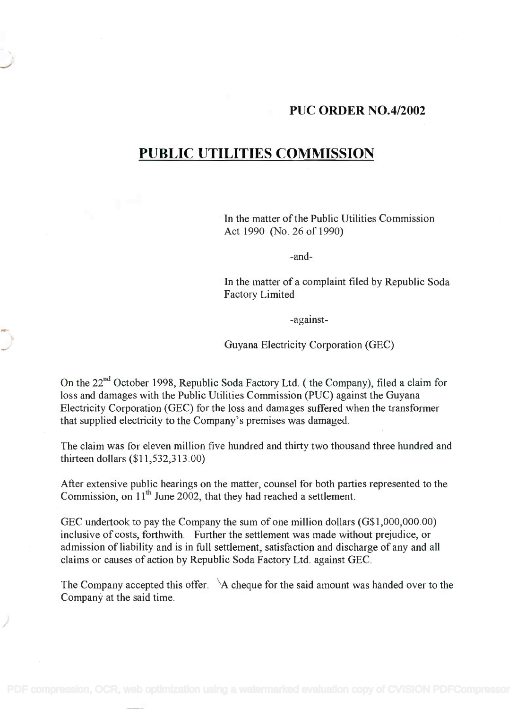## PUC ORDER NO.4/2002

## PUBLIC UTILITIES COMMISSION **PUBLIC UTILITIES COMMISSION**

In the matter of the Public Utilities Commission In the matter of the Public Utilities Commission Act 1990 (No. 26 of 1990) Act 1990 (No. 26 of 1990)

and-

In the matter of a complaint filed by Republic Soda In the matter of a complaint filed by Republic Soda Factory Limited Factory Limited

against-

Guyana Electricity Corporation (GEC)

On the 22<sup>nd</sup> October 1998, Republic Soda Factory Ltd. (the Company), filed a claim for loss and damages with the Public Utilities Commission (PUC) against the Guyana loss and damages with the Public Utilities Commission (PUC) against the Guyana Electricity Corporation (GEC) for the loss and damages suffered when the transformer Electricity Corporation (GEC) for the loss and damages suffered when the transformer that supplied electricity to the Company's premises was damaged. that supplied electricity to the Company's premises was damaged.

The claim was for eleven million five hundred and thirty two thousand three hundred and The claim was for eleven million five hundred and thirty two thousand three hundred and thirteen dollars (\$11,532,313.00) thirteen dollars (\$11,532,313.00)

After extensive public hearings on the matter, counsel for both parties represented to the After extensive public hearings on the matter, counsel for both parties represented to the Commission, on 11<sup>th</sup> June 2002, that they had reached a settlement.

GEC undertook to pay the Company the sum of one million dollars (G\$1,000,000.00) GEC undertook to pay the Company the sum of one million dollars (G\$I,OOO,OOO.OO) inclusive of costs, forthwith. Further the settlement was made without prejudice, or inclusive of costs, forthwith. Further the settlement was made without prejudice, or admission of liability and is in full settlement, satisfaction and discharge of any and all admission of liability and is in full settlement, satisfaction and discharge of any and all claims or causes of action by Republic Soda Factory Ltd. against GEC.

The Company accepted this offer. \A cheque for the said amount was handed over to the The Company accepted this offer. \A cheque for the said amount was handed over to the Company at the said time. Company at the said time.